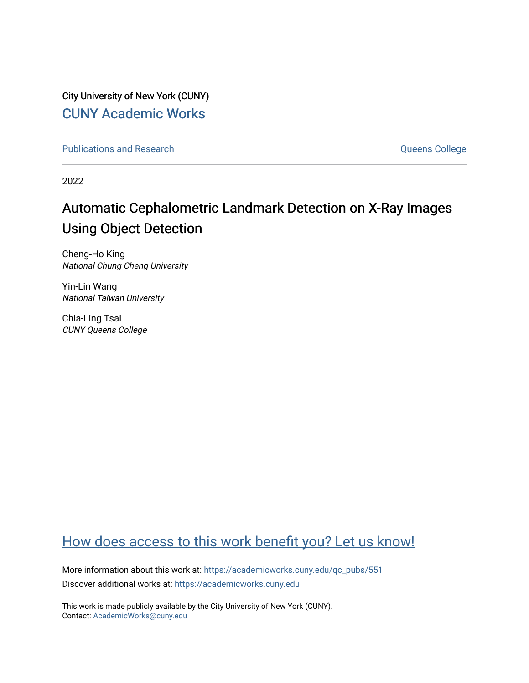City University of New York (CUNY) [CUNY Academic Works](https://academicworks.cuny.edu/) 

[Publications and Research](https://academicworks.cuny.edu/qc_pubs) **College** College and Theorem and Theorem and Theorem and Theorem and Theorem and Theorem and Theorem and Theorem and Theorem and Theorem and Theorem and Theorem and Theorem and Theorem and Theore

2022

# Automatic Cephalometric Landmark Detection on X-Ray Images Using Object Detection

Cheng-Ho King National Chung Cheng University

Yin-Lin Wang National Taiwan University

Chia-Ling Tsai CUNY Queens College

## [How does access to this work benefit you? Let us know!](http://ols.cuny.edu/academicworks/?ref=https://academicworks.cuny.edu/qc_pubs/551)

More information about this work at: [https://academicworks.cuny.edu/qc\\_pubs/551](https://academicworks.cuny.edu/qc_pubs/551) Discover additional works at: [https://academicworks.cuny.edu](https://academicworks.cuny.edu/?)

This work is made publicly available by the City University of New York (CUNY). Contact: [AcademicWorks@cuny.edu](mailto:AcademicWorks@cuny.edu)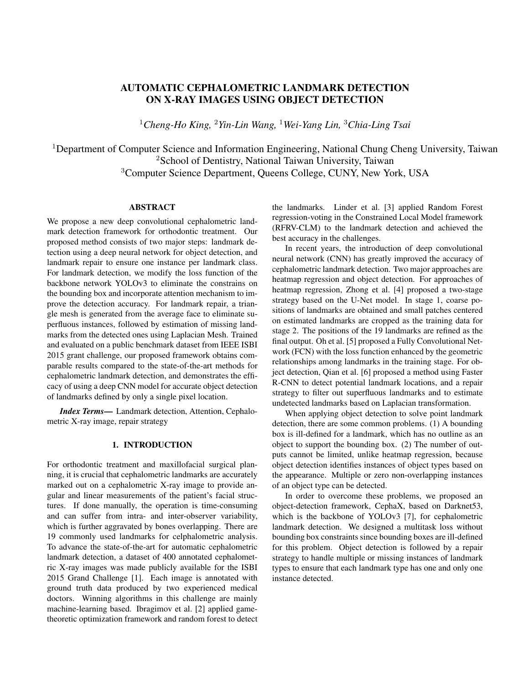### AUTOMATIC CEPHALOMETRIC LANDMARK DETECTION ON X-RAY IMAGES USING OBJECT DETECTION

<sup>1</sup>*Cheng-Ho King,* <sup>2</sup>*Yin-Lin Wang,* <sup>1</sup>*Wei-Yang Lin,* <sup>3</sup>*Chia-Ling Tsai*

<sup>1</sup>Department of Computer Science and Information Engineering, National Chung Cheng University, Taiwan <sup>2</sup>School of Dentistry, National Taiwan University, Taiwan <sup>3</sup>Computer Science Department, Queens College, CUNY, New York, USA

#### ABSTRACT

We propose a new deep convolutional cephalometric landmark detection framework for orthodontic treatment. Our proposed method consists of two major steps: landmark detection using a deep neural network for object detection, and landmark repair to ensure one instance per landmark class. For landmark detection, we modify the loss function of the backbone network YOLOv3 to eliminate the constrains on the bounding box and incorporate attention mechanism to improve the detection accuracy. For landmark repair, a triangle mesh is generated from the average face to eliminate superfluous instances, followed by estimation of missing landmarks from the detected ones using Laplacian Mesh. Trained and evaluated on a public benchmark dataset from IEEE ISBI 2015 grant challenge, our proposed framework obtains comparable results compared to the state-of-the-art methods for cephalometric landmark detection, and demonstrates the efficacy of using a deep CNN model for accurate object detection of landmarks defined by only a single pixel location.

*Index Terms*— Landmark detection, Attention, Cephalometric X-ray image, repair strategy

#### 1. INTRODUCTION

For orthodontic treatment and maxillofacial surgical planning, it is crucial that cephalometric landmarks are accurately marked out on a cephalometric X-ray image to provide angular and linear measurements of the patient's facial structures. If done manually, the operation is time-consuming and can suffer from intra- and inter-observer variability, which is further aggravated by bones overlapping. There are 19 commonly used landmarks for celphalometric analysis. To advance the state-of-the-art for automatic cephalometric landmark detection, a dataset of 400 annotated cephalometric X-ray images was made publicly available for the ISBI 2015 Grand Challenge [1]. Each image is annotated with ground truth data produced by two experienced medical doctors. Winning algorithms in this challenge are mainly machine-learning based. Ibragimov et al. [2] applied gametheoretic optimization framework and random forest to detect the landmarks. Linder et al. [3] applied Random Forest regression-voting in the Constrained Local Model framework (RFRV-CLM) to the landmark detection and achieved the best accuracy in the challenges.

In recent years, the introduction of deep convolutional neural network (CNN) has greatly improved the accuracy of cephalometric landmark detection. Two major approaches are heatmap regression and object detection. For approaches of heatmap regression, Zhong et al. [4] proposed a two-stage strategy based on the U-Net model. In stage 1, coarse positions of landmarks are obtained and small patches centered on estimated landmarks are cropped as the training data for stage 2. The positions of the 19 landmarks are refined as the final output. Oh et al. [5] proposed a Fully Convolutional Network (FCN) with the loss function enhanced by the geometric relationships among landmarks in the training stage. For object detection, Qian et al. [6] proposed a method using Faster R-CNN to detect potential landmark locations, and a repair strategy to filter out superfluous landmarks and to estimate undetected landmarks based on Laplacian transformation.

When applying object detection to solve point landmark detection, there are some common problems. (1) A bounding box is ill-defined for a landmark, which has no outline as an object to support the bounding box. (2) The number of outputs cannot be limited, unlike heatmap regression, because object detection identifies instances of object types based on the appearance. Multiple or zero non-overlapping instances of an object type can be detected.

In order to overcome these problems, we proposed an object-detection framework, CephaX, based on Darknet53, which is the backbone of YOLOv3 [7], for cephalometric landmark detection. We designed a multitask loss without bounding box constraints since bounding boxes are ill-defined for this problem. Object detection is followed by a repair strategy to handle multiple or missing instances of landmark types to ensure that each landmark type has one and only one instance detected.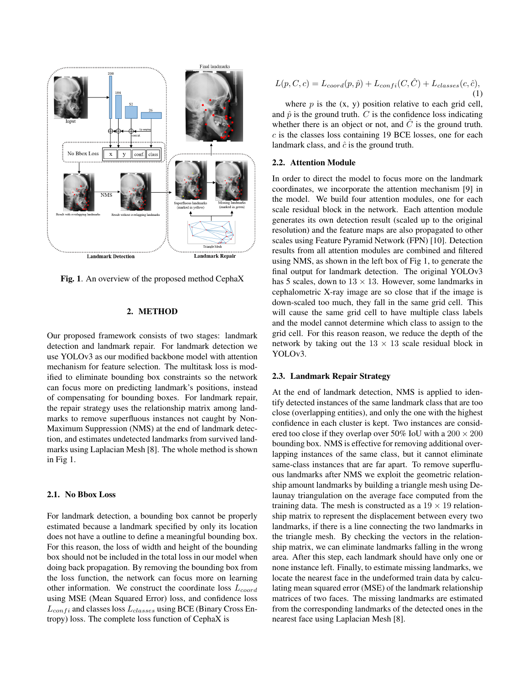

Fig. 1. An overview of the proposed method CephaX

#### 2. METHOD

Our proposed framework consists of two stages: landmark detection and landmark repair. For landmark detection we use YOLOv3 as our modified backbone model with attention mechanism for feature selection. The multitask loss is modified to eliminate bounding box constraints so the network can focus more on predicting landmark's positions, instead of compensating for bounding boxes. For landmark repair, the repair strategy uses the relationship matrix among landmarks to remove superfluous instances not caught by Non-Maximum Suppression (NMS) at the end of landmark detection, and estimates undetected landmarks from survived landmarks using Laplacian Mesh [8]. The whole method is shown in Fig 1.

#### 2.1. No Bbox Loss

For landmark detection, a bounding box cannot be properly estimated because a landmark specified by only its location does not have a outline to define a meaningful bounding box. For this reason, the loss of width and height of the bounding box should not be included in the total loss in our model when doing back propagation. By removing the bounding box from the loss function, the network can focus more on learning other information. We construct the coordinate loss  $L_{coord}$ using MSE (Mean Squared Error) loss, and confidence loss  $L_{confi}$  and classes loss  $L_{classes}$  using BCE (Binary Cross Entropy) loss. The complete loss function of CephaX is

$$
L(p, C, c) = L_{coord}(p, \hat{p}) + L_{confi}(C, \hat{C}) + L_{classes}(c, \hat{c}),
$$
\n(1)

where  $p$  is the  $(x, y)$  position relative to each grid cell, and  $\hat{p}$  is the ground truth.  $C$  is the confidence loss indicating whether there is an object or not, and  $\ddot{C}$  is the ground truth.  $c$  is the classes loss containing 19 BCE losses, one for each landmark class, and  $\hat{c}$  is the ground truth.

#### 2.2. Attention Module

In order to direct the model to focus more on the landmark coordinates, we incorporate the attention mechanism [9] in the model. We build four attention modules, one for each scale residual block in the network. Each attention module generates its own detection result (scaled up to the original resolution) and the feature maps are also propagated to other scales using Feature Pyramid Network (FPN) [10]. Detection results from all attention modules are combined and filtered using NMS, as shown in the left box of Fig 1, to generate the final output for landmark detection. The original YOLOv3 has 5 scales, down to  $13 \times 13$ . However, some landmarks in cephalometric X-ray image are so close that if the image is down-scaled too much, they fall in the same grid cell. This will cause the same grid cell to have multiple class labels and the model cannot determine which class to assign to the grid cell. For this reason reason, we reduce the depth of the network by taking out the  $13 \times 13$  scale residual block in YOLOv3.

#### 2.3. Landmark Repair Strategy

At the end of landmark detection, NMS is applied to identify detected instances of the same landmark class that are too close (overlapping entities), and only the one with the highest confidence in each cluster is kept. Two instances are considered too close if they overlap over 50% IoU with a  $200 \times 200$ bounding box. NMS is effective for removing additional overlapping instances of the same class, but it cannot eliminate same-class instances that are far apart. To remove superfluous landmarks after NMS we exploit the geometric relationship amount landmarks by building a triangle mesh using Delaunay triangulation on the average face computed from the training data. The mesh is constructed as a  $19 \times 19$  relationship matrix to represent the displacement between every two landmarks, if there is a line connecting the two landmarks in the triangle mesh. By checking the vectors in the relationship matrix, we can eliminate landmarks falling in the wrong area. After this step, each landmark should have only one or none instance left. Finally, to estimate missing landmarks, we locate the nearest face in the undeformed train data by calculating mean squared error (MSE) of the landmark relationship matrices of two faces. The missing landmarks are estimated from the corresponding landmarks of the detected ones in the nearest face using Laplacian Mesh [8].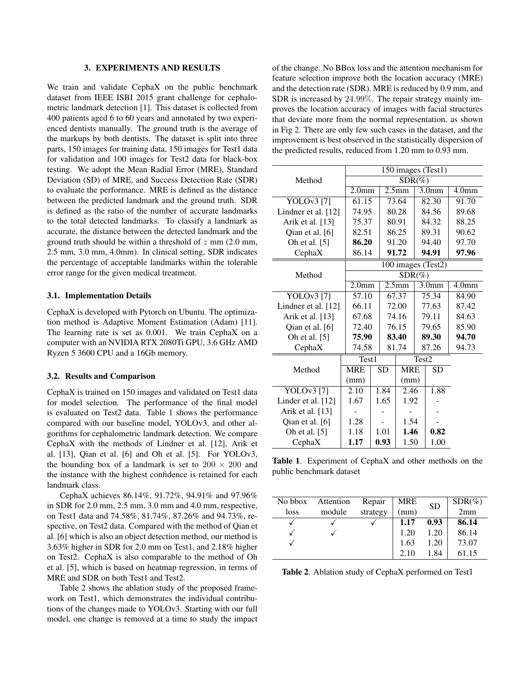#### 3. EXPERIMENTS AND RESULTS

We train and validate CephaX on the public benchmark dataset from IEEE ISBI 2015 grant challenge for cephalometric landmark detection [1]. This dataset is collected from 400 patients aged 6 to 60 years and annotated by two experienced dentists manually. The ground truth is the average of the markups by both dentists. The dataset is split into three parts, 150 images for training data, 150 images for Test1 data for validation and 100 images for Test2 data for black-box testing. We adopt the Mean Radial Error (MRE), Standard Deviation (SD) of MRE, and Success Detection Rate (SDR) to evaluate the performance. MRE is defined as the distance between the predicted landmark and the ground truth. SDR is defined as the ratio of the number of accurate landmarks to the total detected landmarks. To classify a landmark as accurate, the distance between the detected landmark and the ground truth should be within a threshold of  $z$  mm (2.0 mm, 2.5 mm, 3.0 mm, 4.0mm). In clinical setting, SDR indicates the percentage of acceptable landmarks within the tolerable error range for the given medical treatment.

#### 3.1. Implementation Details

CephaX is developed with Pytorch on Ubuntu. The optimization method is Adaptive Moment Estimation (Adam) [11]. The learning rate is set as 0.001. We train CephaX on a computer with an NVIDIA RTX 2080Ti GPU, 3.6 GHz AMD Ryzen 5 3600 CPU and a 16Gb memory.

#### 3.2. Results and Comparison

CephaX is trained on 150 images and validated on Test1 data for model selection. The performance of the final model is evaluated on Test2 data. Table 1 shows the performance compared with our baseline model, YOLOv3, and other algorithms for cephalometric landmark detection. We compare CephaX with the methods of Lindner et al. [12], Arik et al. [13], Qian et al. [6] and Oh et al. [5]. For YOLOv3, the bounding box of a landmark is set to  $200 \times 200$  and the instance with the highest confidence is retained for each landmark class.

CephaX achieves 86.14%, 91.72%, 94.91% and 97.96% in SDR for 2.0 mm, 2.5 mm, 3.0 mm and 4.0 mm, respective, on Test1 data and 74.58%, 81.74%, 87.26% and 94.73%, respective, on Test2 data. Compared with the method of Qian et al. [6] which is also an object detection method, our method is 3.63% higher in SDR for 2.0 mm on Test1, and 2.18% higher on Test2. CephaX is also comparable to the method of Oh et al. [5], which is based on heatmap regression, in terms of MRE and SDR on both Test1 and Test2.

Table 2 shows the ablation study of the proposed framework on Test1, which demonstrates the individual contributions of the changes made to YOLOv3. Starting with our full model, one change is removed at a time to study the impact of the change. No BBox loss and the attention mechanism for feature selection improve both the location accuracy (MRE) and the detection rate (SDR). MRE is reduced by 0.9 mm, and SDR is increased by 24.99%. The repair strategy mainly improves the location accuracy of images with facial structures that deviate more from the normal representation, as shown in Fig 2. There are only few such cases in the dataset, and the improvement is best observed in the statistically dispersion of the predicted results, reduced from 1.20 mm to 0.93 mm.

|                       | 150 images (Test1) |                   |           |                   |       |                   |                   |  |
|-----------------------|--------------------|-------------------|-----------|-------------------|-------|-------------------|-------------------|--|
| Method                | $SDR(\%)$          |                   |           |                   |       |                   |                   |  |
|                       | 2.0 <sub>mm</sub>  |                   |           | 2.5 <sub>mm</sub> |       | 3.0 <sub>mm</sub> | 4.0 <sub>mm</sub> |  |
| <b>YOLOv3</b> [7]     | 61.15              |                   |           | 73.64             |       | 82.30             | 91.70             |  |
| Lindner et al. $[12]$ | 74.95              |                   |           | 80.28             |       | 84.56             | 89.68             |  |
| Arik et al. [13]      | 75.37              |                   |           | 80.91             |       | 84.32             | 88.25             |  |
| Oian et al. [6]       | 82.51              |                   |           | 86.25             |       | 89.31             | 90.62             |  |
| Oh et al. [5]         |                    | 86.20             |           | 91.20             |       | 94.40             | 97.70             |  |
| CephaX                | 86.14              |                   |           | 91.72             |       | 94.91             | 97.96             |  |
|                       | 100 images (Test2) |                   |           |                   |       |                   |                   |  |
| Method                | $SDR(\%)$          |                   |           |                   |       |                   |                   |  |
|                       |                    | 2.0 <sub>mm</sub> |           | 2.5 <sub>mm</sub> |       | 3.0 <sub>mm</sub> | 4.0 <sub>mm</sub> |  |
| <b>YOLOv3</b> [7]     |                    | 57.10             |           | 67.37             |       | 75.34             | 84.90             |  |
| Lindner et al. $[12]$ |                    | 66.11             |           | 72.00             |       | 77.63             | 87.42             |  |
| Arik et al. [13]      | 67.68              |                   | 74.16     |                   | 79.11 |                   | 84.63             |  |
| Qian et al. [6]       | 72.40              |                   | 76.15     |                   | 79.65 |                   | 85.90             |  |
| Oh et al. [5]         | 75.90              |                   |           | 83.40             |       | 89.30             | 94.70             |  |
| CephaX                | 74.58              |                   |           | 81.74             | 87.26 |                   | 94.73             |  |
|                       | Test1              |                   |           |                   |       | Test <sub>2</sub> |                   |  |
| Method                | <b>MRE</b>         |                   | <b>SD</b> | <b>MRE</b>        |       | <b>SD</b>         |                   |  |
|                       | (mm)               |                   |           | (mm)              |       |                   |                   |  |
| <b>YOLOv3</b> [7]     | 2.10               |                   | 1.84      | 2.46              |       | 1.88              |                   |  |
| Linder et al. $[12]$  | 1.67               |                   | 1.65      | 1.92              |       |                   |                   |  |
| Arik et al. [13]      |                    |                   |           |                   |       |                   |                   |  |
| Qian et al. [6]       | 1.28               |                   |           | 1.54              |       |                   |                   |  |
| Oh et al. [5]         | 1.18               |                   | 1.01      | 1.46              |       | 0.82              |                   |  |
| CephaX                | 1.17               |                   | 0.93      | 1.50              |       | 1.00              |                   |  |

Table 1. Experiment of CephaX and other methods on the public benchmark dataset

| No bbox | Attention | Repair   | MRE  | <b>SD</b> | $SDR(\%)$ |
|---------|-----------|----------|------|-----------|-----------|
| loss    | module    | strategy | (mm) |           | 2mm       |
|         |           |          | 1.17 | 0.93      | 86.14     |
| √       |           |          | 1.20 | 1.20      | 86.14     |
|         |           |          | 1.63 | 1.20      | 73.07     |
|         |           |          | 2.10 | 1.84      | 61.15     |

Table 2. Ablation study of CephaX performed on Test1